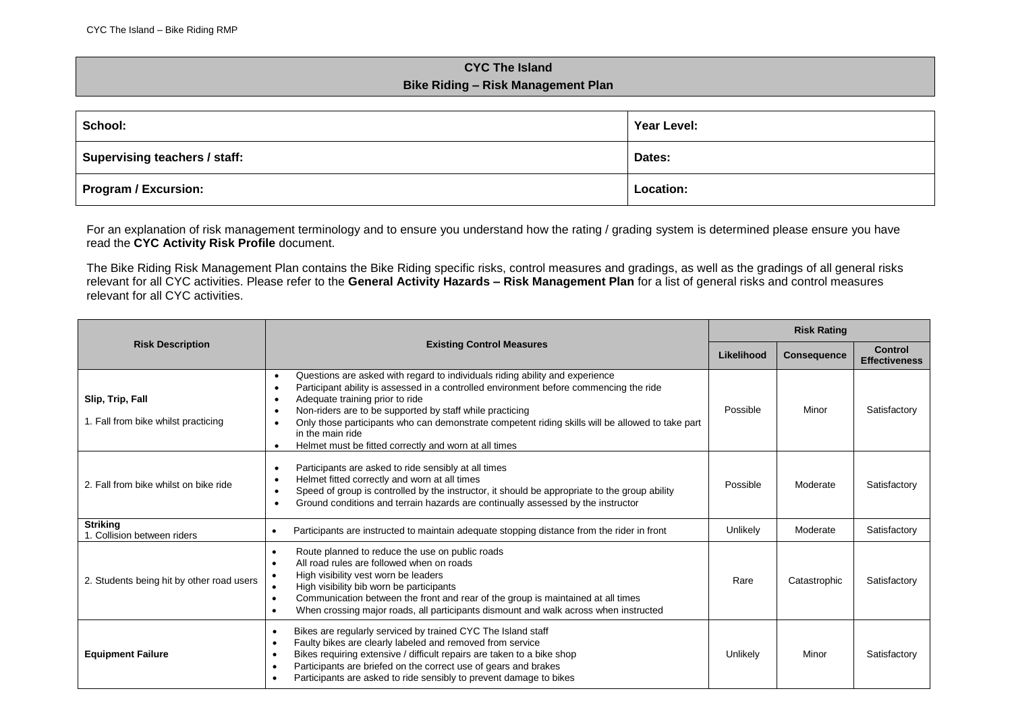## **CYC The Island Bike Riding – Risk Management Plan**

| School:                       | Year Level: |
|-------------------------------|-------------|
| Supervising teachers / staff: | Dates:      |
| Program / Excursion:          | Location:   |

For an explanation of risk management terminology and to ensure you understand how the rating / grading system is determined please ensure you have read the **CYC Activity Risk Profile** document.

The Bike Riding Risk Management Plan contains the Bike Riding specific risks, control measures and gradings, as well as the gradings of all general risks relevant for all CYC activities. Please refer to the **General Activity Hazards – Risk Management Plan** for a list of general risks and control measures relevant for all CYC activities.

|                                                         | <b>Existing Control Measures</b>                                                                                                                                                                                                                                                                                                                                                                                                                                                                                                     |          | <b>Risk Rating</b> |                                        |  |
|---------------------------------------------------------|--------------------------------------------------------------------------------------------------------------------------------------------------------------------------------------------------------------------------------------------------------------------------------------------------------------------------------------------------------------------------------------------------------------------------------------------------------------------------------------------------------------------------------------|----------|--------------------|----------------------------------------|--|
| <b>Risk Description</b>                                 |                                                                                                                                                                                                                                                                                                                                                                                                                                                                                                                                      |          | <b>Consequence</b> | <b>Control</b><br><b>Effectiveness</b> |  |
| Slip, Trip, Fall<br>1. Fall from bike whilst practicing | Questions are asked with regard to individuals riding ability and experience<br>$\bullet$<br>Participant ability is assessed in a controlled environment before commencing the ride<br>$\bullet$<br>Adequate training prior to ride<br>$\bullet$<br>Non-riders are to be supported by staff while practicing<br>$\bullet$<br>Only those participants who can demonstrate competent riding skills will be allowed to take part<br>$\bullet$<br>in the main ride<br>Helmet must be fitted correctly and worn at all times<br>$\bullet$ | Possible | Minor              | Satisfactory                           |  |
| 2. Fall from bike whilst on bike ride                   | Participants are asked to ride sensibly at all times<br>$\bullet$<br>Helmet fitted correctly and worn at all times<br>$\bullet$<br>Speed of group is controlled by the instructor, it should be appropriate to the group ability<br>$\bullet$<br>Ground conditions and terrain hazards are continually assessed by the instructor<br>$\bullet$                                                                                                                                                                                       | Possible | Moderate           | Satisfactory                           |  |
| <b>Striking</b><br>1. Collision between riders          | Participants are instructed to maintain adequate stopping distance from the rider in front<br>٠                                                                                                                                                                                                                                                                                                                                                                                                                                      | Unlikely | Moderate           | Satisfactory                           |  |
| 2. Students being hit by other road users               | Route planned to reduce the use on public roads<br>$\bullet$<br>All road rules are followed when on roads<br>$\bullet$<br>High visibility vest worn be leaders<br>High visibility bib worn be participants<br>$\bullet$<br>Communication between the front and rear of the group is maintained at all times<br>$\bullet$<br>When crossing major roads, all participants dismount and walk across when instructed<br>$\bullet$                                                                                                        | Rare     | Catastrophic       | Satisfactory                           |  |
| <b>Equipment Failure</b>                                | Bikes are regularly serviced by trained CYC The Island staff<br>$\bullet$<br>Faulty bikes are clearly labeled and removed from service<br>$\bullet$<br>Bikes requiring extensive / difficult repairs are taken to a bike shop<br>$\bullet$<br>Participants are briefed on the correct use of gears and brakes<br>$\bullet$<br>Participants are asked to ride sensibly to prevent damage to bikes<br>$\bullet$                                                                                                                        | Unlikely | Minor              | Satisfactory                           |  |